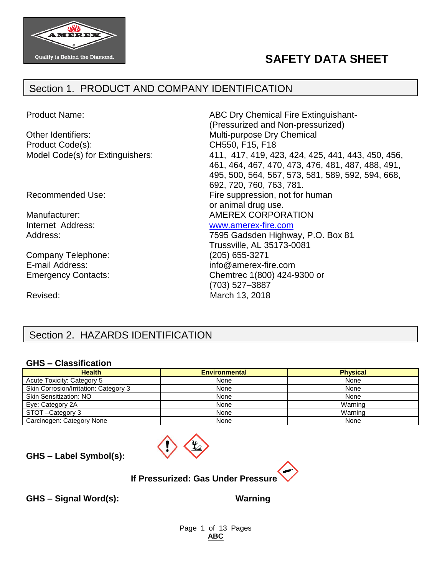

# **SAFETY DATA SHEET**

## Section 1. PRODUCT AND COMPANY IDENTIFICATION

Product Name: The Contract of ABC Dry Chemical Fire Extinguishant-(Pressurized and Non-pressurized) Other Identifiers: Multi-purpose Dry Chemical Product Code(s): CH550, F15, F18 Model Code(s) for Extinguishers: 411, 417, 419, 423, 424, 425, 441, 443, 450, 456, 461, 464, 467, 470, 473, 476, 481, 487, 488, 491, 495, 500, 564, 567, 573, 581, 589, 592, 594, 668, 692, 720, 760, 763, 781. Recommended Use: Fire suppression, not for human or animal drug use. Manufacturer:  $\blacksquare$  AMEREX CORPORATION Internet Address: [www.amerex-fire.com](http://www.amerex-fire.com/) Address: Mathematic Mathematic Metal Contract 7595 Gadsden Highway, P.O. Box 81 Trussville, AL 35173-0081 Company Telephone: (205) 655-3271 E-mail Address: info@amerex-fire.com Emergency Contacts: Chemtrec 1(800) 424-9300 or (703) 527–3887 Revised: March 13, 2018

# Section 2. HAZARDS IDENTIFICATION

#### **GHS – Classification**

| <b>Health</b>                         | <b>Environmental</b> | <b>Physical</b> |
|---------------------------------------|----------------------|-----------------|
| Acute Toxicity: Category 5            | None                 | None            |
| Skin Corrosion/Irritation: Category 3 | None                 | None            |
| <b>Skin Sensitization: NO</b>         | None                 | None            |
| Eye: Category 2A                      | None                 | Warning         |
| STOT-Category 3                       | None                 | Warning         |
| Carcinogen: Category None             | None                 | None            |



**GHS – Label Symbol(s):**



**GHS – Signal Word(s): Warning**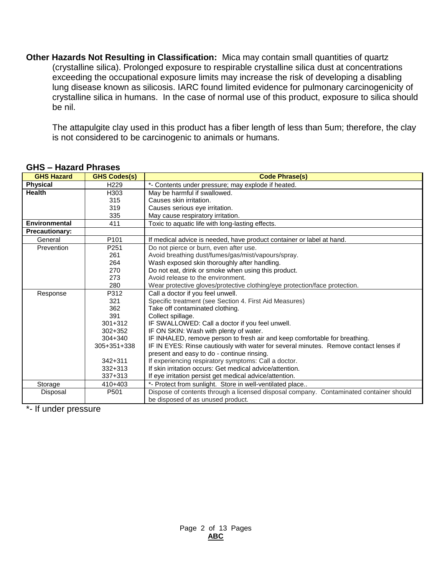**Other Hazards Not Resulting in Classification:** Mica may contain small quantities of quartz (crystalline silica). Prolonged exposure to respirable crystalline silica dust at concentrations exceeding the occupational exposure limits may increase the risk of developing a disabling lung disease known as silicosis. IARC found limited evidence for pulmonary carcinogenicity of crystalline silica in humans. In the case of normal use of this product, exposure to silica should be nil.

The attapulgite clay used in this product has a fiber length of less than 5um; therefore, the clay is not considered to be carcinogenic to animals or humans.

| <b>GHS Hazard</b>     | <b>GHS Codes(s)</b> | <b>Code Phrase(s)</b>                                                                  |
|-----------------------|---------------------|----------------------------------------------------------------------------------------|
| <b>Physical</b>       | H <sub>229</sub>    | *- Contents under pressure; may explode if heated.                                     |
| <b>Health</b>         | H303                | May be harmful if swallowed.                                                           |
|                       | 315                 | Causes skin irritation.                                                                |
|                       | 319                 | Causes serious eye irritation.                                                         |
|                       | 335                 | May cause respiratory irritation.                                                      |
| Environmental         | 411                 | Toxic to aquatic life with long-lasting effects.                                       |
| <b>Precautionary:</b> |                     |                                                                                        |
| General               | P <sub>101</sub>    | If medical advice is needed, have product container or label at hand.                  |
| Prevention            | P <sub>251</sub>    | Do not pierce or burn, even after use.                                                 |
|                       | 261                 | Avoid breathing dust/fumes/gas/mist/vapours/spray.                                     |
|                       | 264                 | Wash exposed skin thoroughly after handling.                                           |
|                       | 270                 | Do not eat, drink or smoke when using this product.                                    |
|                       | 273                 | Avoid release to the environment.                                                      |
|                       | 280                 | Wear protective gloves/protective clothing/eye protection/face protection.             |
| Response              | P312                | Call a doctor if you feel unwell.                                                      |
|                       | 321                 | Specific treatment (see Section 4. First Aid Measures)                                 |
|                       | 362                 | Take off contaminated clothing.                                                        |
|                       | 391                 | Collect spillage.                                                                      |
|                       | $301 + 312$         | IF SWALLOWED: Call a doctor if you feel unwell.                                        |
|                       | $302 + 352$         | IF ON SKIN: Wash with plenty of water.                                                 |
|                       | $304 + 340$         | IF INHALED, remove person to fresh air and keep comfortable for breathing.             |
|                       | 305+351+338         | IF IN EYES: Rinse cautiously with water for several minutes. Remove contact lenses if  |
|                       |                     | present and easy to do - continue rinsing.                                             |
|                       | $342 + 311$         | If experiencing respiratory symptoms: Call a doctor.                                   |
|                       | $332 + 313$         | If skin irritation occurs: Get medical advice/attention.                               |
|                       | $337 + 313$         | If eye irritation persist get medical advice/attention.                                |
| Storage               | $410+403$           | *- Protect from sunlight. Store in well-ventilated place                               |
| Disposal              | P501                | Dispose of contents through a licensed disposal company. Contaminated container should |
|                       |                     | be disposed of as unused product.                                                      |

#### **GHS – Hazard Phrases**

\*- If under pressure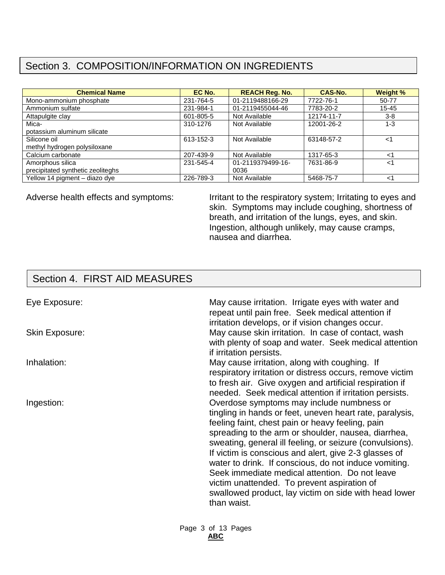# Section 3. COMPOSITION/INFORMATION ON INGREDIENTS

| <b>Chemical Name</b>              | EC No.    | <b>REACH Reg. No.</b> | CAS-No.    | Weight %  |
|-----------------------------------|-----------|-----------------------|------------|-----------|
| Mono-ammonium phosphate           | 231-764-5 | 01-2119488166-29      | 7722-76-1  | 50-77     |
| Ammonium sulfate                  | 231-984-1 | 01-2119455044-46      | 7783-20-2  | $15 - 45$ |
| Attapulgite clay                  | 601-805-5 | Not Available         | 12174-11-7 | $3-8$     |
| Mica-                             | 310-1276  | Not Available         | 12001-26-2 | $1 - 3$   |
| potassium aluminum silicate       |           |                       |            |           |
| Silicone oil                      | 613-152-3 | Not Available         | 63148-57-2 | ا>        |
| methyl hydrogen polysiloxane      |           |                       |            |           |
| Calcium carbonate                 | 207-439-9 | Not Available         | 1317-65-3  | ا>        |
| Amorphous silica                  | 231-545-4 | 01-2119379499-16-     | 7631-86-9  | ا>        |
| precipitated synthetic zeoliteghs |           | 0036                  |            |           |
| Yellow 14 pigment – diazo dye     | 226-789-3 | Not Available         | 5468-75-7  | <1        |

Adverse health effects and symptoms: Irritant to the respiratory system; Irritating to eyes and skin. Symptoms may include coughing, shortness of breath, and irritation of the lungs, eyes, and skin. Ingestion, although unlikely, may cause cramps, nausea and diarrhea.

# Section 4. FIRST AID MEASURES

| Eye Exposure:         | May cause irritation. Irrigate eyes with water and<br>repeat until pain free. Seek medical attention if<br>irritation develops, or if vision changes occur.                                                                                                                                                                                                                                                                                                                                                                                                             |
|-----------------------|-------------------------------------------------------------------------------------------------------------------------------------------------------------------------------------------------------------------------------------------------------------------------------------------------------------------------------------------------------------------------------------------------------------------------------------------------------------------------------------------------------------------------------------------------------------------------|
| <b>Skin Exposure:</b> | May cause skin irritation. In case of contact, wash<br>with plenty of soap and water. Seek medical attention<br>if irritation persists.                                                                                                                                                                                                                                                                                                                                                                                                                                 |
| Inhalation:           | May cause irritation, along with coughing. If<br>respiratory irritation or distress occurs, remove victim<br>to fresh air. Give oxygen and artificial respiration if<br>needed. Seek medical attention if irritation persists.                                                                                                                                                                                                                                                                                                                                          |
| Ingestion:            | Overdose symptoms may include numbness or<br>tingling in hands or feet, uneven heart rate, paralysis,<br>feeling faint, chest pain or heavy feeling, pain<br>spreading to the arm or shoulder, nausea, diarrhea,<br>sweating, general ill feeling, or seizure (convulsions).<br>If victim is conscious and alert, give 2-3 glasses of<br>water to drink. If conscious, do not induce vomiting.<br>Seek immediate medical attention. Do not leave<br>victim unattended. To prevent aspiration of<br>swallowed product, lay victim on side with head lower<br>than waist. |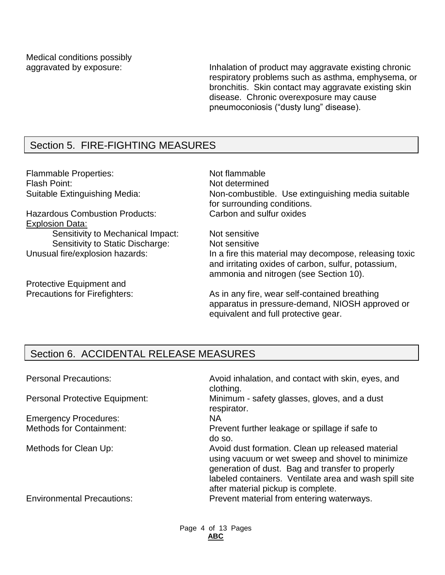Medical conditions possibly

aggravated by exposure: Inhalation of product may aggravate existing chronic respiratory problems such as asthma, emphysema, or bronchitis. Skin contact may aggravate existing skin disease. Chronic overexposure may cause pneumoconiosis ("dusty lung" disease).

# Section 5. FIRE-FIGHTING MEASURES

Flammable Properties: Not flammable Flash Point: Not determined

Hazardous Combustion Products: Carbon and sulfur oxides Explosion Data:

Sensitivity to Mechanical Impact: Not sensitive Sensitivity to Static Discharge: Not sensitive

Protective Equipment and

Suitable Extinguishing Media: Non-combustible. Use extinguishing media suitable for surrounding conditions.

Unusual fire/explosion hazards: In a fire this material may decompose, releasing toxic and irritating oxides of carbon, sulfur, potassium, ammonia and nitrogen (see Section 10).

Precautions for Firefighters: As in any fire, wear self-contained breathing apparatus in pressure-demand, NIOSH approved or equivalent and full protective gear.

## Section 6. ACCIDENTAL RELEASE MEASURES

| <b>Personal Precautions:</b>          | Avoid inhalation, and contact with skin, eyes, and<br>clothing.                                                                                                                                                                                          |
|---------------------------------------|----------------------------------------------------------------------------------------------------------------------------------------------------------------------------------------------------------------------------------------------------------|
| <b>Personal Protective Equipment:</b> | Minimum - safety glasses, gloves, and a dust<br>respirator.                                                                                                                                                                                              |
| <b>Emergency Procedures:</b>          | <b>NA</b>                                                                                                                                                                                                                                                |
| <b>Methods for Containment:</b>       | Prevent further leakage or spillage if safe to<br>do so.                                                                                                                                                                                                 |
| Methods for Clean Up:                 | Avoid dust formation. Clean up released material<br>using vacuum or wet sweep and shovel to minimize<br>generation of dust. Bag and transfer to properly<br>labeled containers. Ventilate area and wash spill site<br>after material pickup is complete. |
| <b>Environmental Precautions:</b>     | Prevent material from entering waterways.                                                                                                                                                                                                                |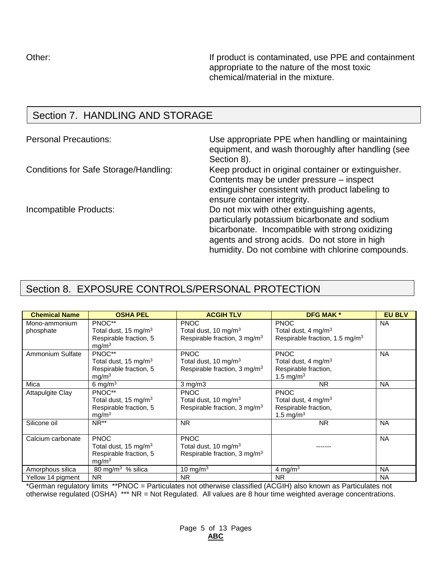Other: **If product is contaminated, use PPE and containment** appropriate to the nature of the most toxic chemical/material in the mixture.

## Section 7. HANDLING AND STORAGE

Personal Precautions: Use appropriate PPE when handling or maintaining equipment, and wash thoroughly after handling (see Section 8).

Conditions for Safe Storage/Handling: Keep product in original container or extinguisher. Contents may be under pressure – inspect extinguisher consistent with product labeling to ensure container integrity.

Incompatible Products: Do not mix with other extinguishing agents, particularly potassium bicarbonate and sodium bicarbonate. Incompatible with strong oxidizing agents and strong acids. Do not store in high humidity. Do not combine with chlorine compounds.

## Section 8. EXPOSURE CONTROLS/PERSONAL PROTECTION

| <b>Chemical Name</b>    | <b>OSHA PEL</b>         | <b>ACGIH TLV</b>                         | <b>DFG MAK *</b>                           | <b>EU BLV</b> |
|-------------------------|-------------------------|------------------------------------------|--------------------------------------------|---------------|
| Mono-ammonium           | PNOC**                  | <b>PNOC</b>                              | <b>PNOC</b>                                | <b>NA</b>     |
| phosphate               | Total dust, 15 mg/m $3$ | Total dust, 10 mg/m $3$                  | Total dust, 4 mg/m <sup>3</sup>            |               |
|                         | Respirable fraction, 5  | Respirable fraction, 3 mg/m <sup>3</sup> | Respirable fraction, 1.5 mg/m <sup>3</sup> |               |
|                         | mg/m <sup>3</sup>       |                                          |                                            |               |
| Ammonium Sulfate        | PNOC**                  | <b>PNOC</b>                              | <b>PNOC</b>                                | <b>NA</b>     |
|                         | Total dust, 15 mg/m $3$ | Total dust, 10 mg/m $3$                  | Total dust, 4 mg/m <sup>3</sup>            |               |
|                         | Respirable fraction, 5  | Respirable fraction, 3 mg/m <sup>3</sup> | Respirable fraction,                       |               |
|                         | mg/m <sup>3</sup>       |                                          | 1.5 mg/m <sup>3</sup>                      |               |
| Mica                    | 6 mg/m $3$              | $3$ mg/m $3$                             | N <sub>R</sub>                             | <b>NA</b>     |
| <b>Attapulgite Clay</b> | PNOC**                  | <b>PNOC</b>                              | <b>PNOC</b>                                |               |
|                         | Total dust, 15 mg/m $3$ | Total dust, 10 mg/m $3$                  | Total dust, 4 mg/m <sup>3</sup>            |               |
|                         | Respirable fraction, 5  | Respirable fraction, $3 \text{ mg/m}^3$  | Respirable fraction,                       |               |
|                         | mg/m <sup>3</sup>       |                                          | 1.5 mg/m <sup>3</sup>                      |               |
| Silicone oil            | $NR**$                  | <b>NR</b>                                | <b>NR</b>                                  | <b>NA</b>     |
|                         |                         |                                          |                                            |               |
| Calcium carbonate       | <b>PNOC</b>             | <b>PNOC</b>                              |                                            | <b>NA</b>     |
|                         | Total dust, 15 mg/m $3$ | Total dust, 10 mg/m <sup>3</sup>         |                                            |               |
|                         | Respirable fraction, 5  | Respirable fraction, $3 \text{ mg/m}^3$  |                                            |               |
|                         | mq/m <sup>3</sup>       |                                          |                                            |               |
| Amorphous silica        | 80 mg/m $3\%$ silica    | 10 mg/m $3$                              | 4 mg/m <sup>3</sup>                        | <b>NA</b>     |
| Yellow 14 pigment       | <b>NR</b>               | <b>NR</b>                                | <b>NR</b>                                  | <b>NA</b>     |

\*German regulatory limits \*\*PNOC = Particulates not otherwise classified (ACGIH) also known as Particulates not otherwise regulated (OSHA) \*\*\* NR = Not Regulated. All values are 8 hour time weighted average concentrations.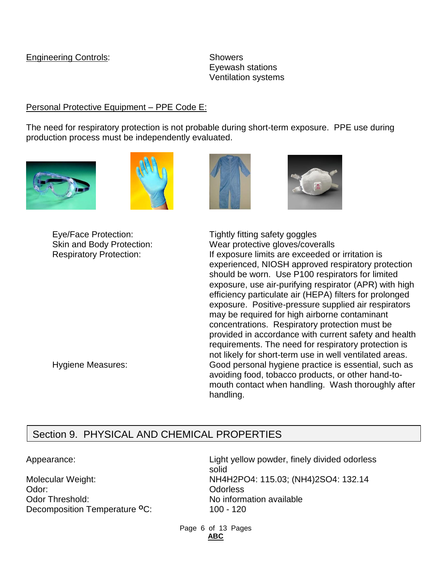#### Engineering Controls: Showers

Eyewash stations Ventilation systems

## Personal Protective Equipment – PPE Code E:

The need for respiratory protection is not probable during short-term exposure. PPE use during production process must be independently evaluated.







Eye/Face Protection: Tightly fitting safety goggles Skin and Body Protection: Wear protective gloves/coveralls Respiratory Protection: If exposure limits are exceeded or irritation is experienced, NIOSH approved respiratory protection should be worn. Use P100 respirators for limited exposure, use air-purifying respirator (APR) with high efficiency particulate air (HEPA) filters for prolonged exposure. Positive-pressure supplied air respirators may be required for high airborne contaminant concentrations. Respiratory protection must be provided in accordance with current safety and health requirements. The need for respiratory protection is not likely for short-term use in well ventilated areas. Hygiene Measures: Good personal hygiene practice is essential, such as avoiding food, tobacco products, or other hand-tomouth contact when handling. Wash thoroughly after handling.

# Section 9. PHYSICAL AND CHEMICAL PROPERTIES

Odor: Odorless Odor Threshold: No information available Decomposition Temperature <sup>o</sup>C: 100 - 120

Appearance: Light yellow powder, finely divided odorless solid Molecular Weight: NH4H2PO4: 115.03; (NH4)2SO4: 132.14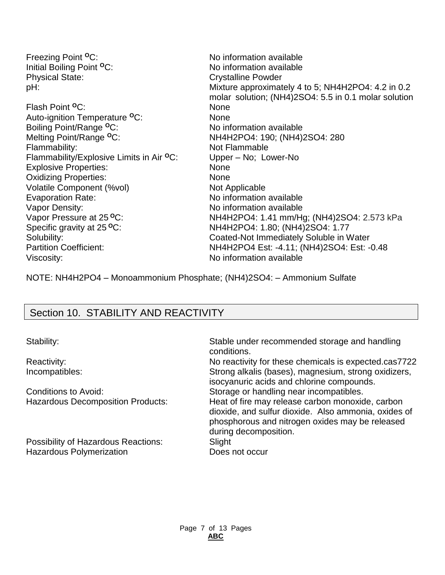| Freezing Point <sup>o</sup> C:                       | No information available                             |
|------------------------------------------------------|------------------------------------------------------|
| Initial Boiling Point <sup>o</sup> C:                | No information available                             |
| <b>Physical State:</b>                               | <b>Crystalline Powder</b>                            |
| pH:                                                  | Mixture approximately 4 to 5; NH4H2PO4: 4.2 in 0.2   |
|                                                      | molar solution; (NH4)2SO4: 5.5 in 0.1 molar solution |
| Flash Point <sup>o</sup> C:                          | <b>None</b>                                          |
| Auto-ignition Temperature <sup>o</sup> C:            | <b>None</b>                                          |
| Boiling Point/Range <sup>o</sup> C:                  | No information available                             |
| Melting Point/Range <sup>o</sup> C:                  | NH4H2PO4: 190; (NH4)2SO4: 280                        |
| Flammability:                                        | Not Flammable                                        |
| Flammability/Explosive Limits in Air <sup>o</sup> C: | Upper - No; Lower-No                                 |
| <b>Explosive Properties:</b>                         | <b>None</b>                                          |
| <b>Oxidizing Properties:</b>                         | <b>None</b>                                          |
| Volatile Component (%vol)                            | Not Applicable                                       |
| <b>Evaporation Rate:</b>                             | No information available                             |
| Vapor Density:                                       | No information available                             |
| Vapor Pressure at 25 °C:                             | NH4H2PO4: 1.41 mm/Hg; (NH4)2SO4: 2.573 kPa           |
| Specific gravity at 25 °C:                           | NH4H2PO4: 1.80; (NH4)2SO4: 1.77                      |
| Solubility:                                          | Coated-Not Immediately Soluble in Water              |
| <b>Partition Coefficient:</b>                        | NH4H2PO4 Est: -4.11; (NH4)2SO4: Est: -0.48           |
| Viscosity:                                           | No information available                             |

NOTE: NH4H2PO4 – Monoammonium Phosphate; (NH4)2SO4: – Ammonium Sulfate

## Section 10. STABILITY AND REACTIVITY

Possibility of Hazardous Reactions: Slight Hazardous Polymerization **Does not occur** 

Stability: Stable under recommended storage and handling conditions. Reactivity: No reactivity for these chemicals is expected.cas7722 Incompatibles: Strong alkalis (bases), magnesium, strong oxidizers,

isocyanuric acids and chlorine compounds. Conditions to Avoid: Storage or handling near incompatibles. Hazardous Decomposition Products: Heat of fire may release carbon monoxide, carbon

dioxide, and sulfur dioxide. Also ammonia, oxides of phosphorous and nitrogen oxides may be released during decomposition.

Page 7 of 13 Pages **ABC**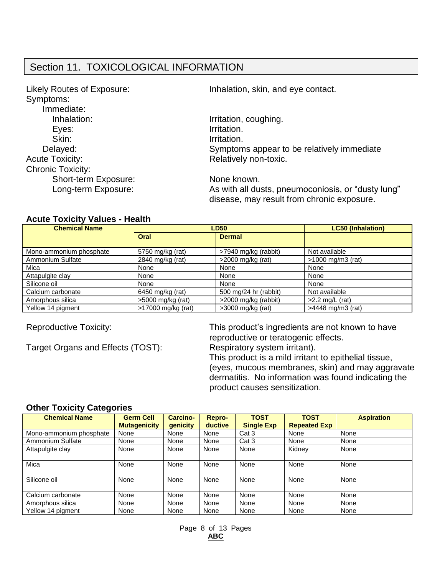## Section 11. TOXICOLOGICAL INFORMATION

| Likely Routes of Exposure:<br>Symptoms: | Inhalation, skin, and eye contact.                                                               |
|-----------------------------------------|--------------------------------------------------------------------------------------------------|
| Immediate:                              |                                                                                                  |
| Inhalation:                             | Irritation, coughing.                                                                            |
| Eyes:                                   | Irritation.                                                                                      |
| Skin:                                   | Irritation.                                                                                      |
| Delayed:                                | Symptoms appear to be relatively immediate                                                       |
| <b>Acute Toxicity:</b>                  | Relatively non-toxic.                                                                            |
| <b>Chronic Toxicity:</b>                |                                                                                                  |
| Short-term Exposure:                    | None known.                                                                                      |
| Long-term Exposure:                     | As with all dusts, pneumoconiosis, or "dusty lung"<br>disease, may result from chronic exposure. |

#### **Acute Toxicity Values - Health**

| <b>Chemical Name</b>    | <b>LD50</b>        | <b>LC50 (Inhalation)</b> |                              |
|-------------------------|--------------------|--------------------------|------------------------------|
|                         | Oral               | <b>Dermal</b>            |                              |
| Mono-ammonium phosphate | 5750 mg/kg (rat)   | >7940 mg/kg (rabbit)     | Not available                |
| Ammonium Sulfate        | 2840 mg/kg (rat)   | >2000 mg/kg (rat)        | $>1000 \text{ mg/m}$ 3 (rat) |
| Mica                    | None               | None                     | None                         |
| Attapulgite clay        | None               | None                     | None                         |
| Silicone oil            | None               | None                     | None                         |
| Calcium carbonate       | 6450 mg/kg (rat)   | 500 mg/24 hr (rabbit)    | Not available                |
| Amorphous silica        | >5000 mg/kg (rat)  | >2000 mg/kg (rabbit)     | $>2.2$ mg/L (rat)            |
| Yellow 14 pigment       | >17000 mg/kg (rat) | $>3000$ mg/kg (rat)      | >4448 mg/m3 (rat)            |

Target Organs and Effects (TOST): Respiratory system irritant).

Reproductive Toxicity: This product's ingredients are not known to have reproductive or teratogenic effects.

This product is a mild irritant to epithelial tissue, (eyes, mucous membranes, skin) and may aggravate dermatitis. No information was found indicating the product causes sensitization.

#### **Other Toxicity Categories**

| <b>Chemical Name</b>    | <b>Germ Cell</b><br><b>Mutagenicity</b> | <b>Carcino-</b><br>genicity | <b>Repro-</b><br>ductive | <b>TOST</b><br><b>Single Exp</b> | <b>TOST</b><br><b>Repeated Exp</b> | <b>Aspiration</b> |
|-------------------------|-----------------------------------------|-----------------------------|--------------------------|----------------------------------|------------------------------------|-------------------|
| Mono-ammonium phosphate | None                                    | None                        | None                     | Cat 3                            | None                               | None              |
| Ammonium Sulfate        | None                                    | None                        | None                     | Cat 3                            | None                               | None              |
| Attapulgite clay        | None                                    | None                        | None                     | None                             | Kidney                             | None              |
| Mica                    | None                                    | None                        | None                     | None                             | None                               | None              |
| Silicone oil            | None                                    | None                        | None                     | None                             | None                               | None              |
| Calcium carbonate       | None                                    | None                        | None                     | None                             | None                               | None              |
| Amorphous silica        | None                                    | None                        | None                     | None                             | None                               | None              |
| Yellow 14 pigment       | None                                    | None                        | None                     | None                             | None                               | None              |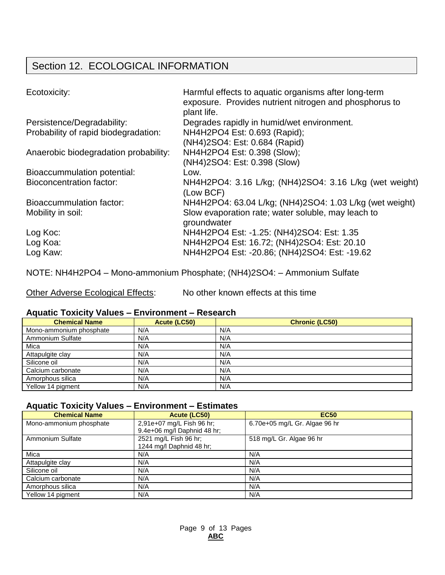# Section 12. ECOLOGICAL INFORMATION

| Ecotoxicity:                          | Harmful effects to aquatic organisms after long-term<br>exposure. Provides nutrient nitrogen and phosphorus to<br>plant life. |
|---------------------------------------|-------------------------------------------------------------------------------------------------------------------------------|
| Persistence/Degradability:            | Degrades rapidly in humid/wet environment.                                                                                    |
| Probability of rapid biodegradation:  | NH4H2PO4 Est: 0.693 (Rapid);                                                                                                  |
|                                       | (NH4)2SO4: Est: 0.684 (Rapid)                                                                                                 |
| Anaerobic biodegradation probability: | NH4H2PO4 Est: 0.398 (Slow);                                                                                                   |
|                                       | (NH4)2SO4: Est: 0.398 (Slow)                                                                                                  |
| Bioaccummulation potential:           | Low.                                                                                                                          |
| <b>Bioconcentration factor:</b>       | NH4H2PO4: 3.16 L/kg; (NH4)2SO4: 3.16 L/kg (wet weight)<br>(Low BCF)                                                           |
| Bioaccummulation factor:              | NH4H2PO4: 63.04 L/kg; (NH4)2SO4: 1.03 L/kg (wet weight)                                                                       |
| Mobility in soil:                     | Slow evaporation rate; water soluble, may leach to<br>groundwater                                                             |
| Log Koc:                              | NH4H2PO4 Est: -1.25: (NH4)2SO4: Est: 1.35                                                                                     |
| Log Koa:                              | NH4H2PO4 Est: 16.72; (NH4)2SO4: Est: 20.10                                                                                    |
| Log Kaw:                              | NH4H2PO4 Est: -20.86; (NH4)2SO4: Est: -19.62                                                                                  |

NOTE: NH4H2PO4 – Mono-ammonium Phosphate; (NH4)2SO4: – Ammonium Sulfate

Other Adverse Ecological Effects: No other known effects at this time

## **Aquatic Toxicity Values – Environment – Research**

| <b>Chemical Name</b>    | Acute (LC50) | <b>Chronic (LC50)</b> |
|-------------------------|--------------|-----------------------|
| Mono-ammonium phosphate | N/A          | N/A                   |
| Ammonium Sulfate        | N/A          | N/A                   |
| Mica                    | N/A          | N/A                   |
| Attapulgite clay        | N/A          | N/A                   |
| Silicone oil            | N/A          | N/A                   |
| Calcium carbonate       | N/A          | N/A                   |
| Amorphous silica        | N/A          | N/A                   |
| Yellow 14 pigment       | N/A          | N/A                   |

#### **Aquatic Toxicity Values – Environment – Estimates**

| <b>Chemical Name</b>    | Acute (LC50)                | <b>EC50</b>                   |
|-------------------------|-----------------------------|-------------------------------|
| Mono-ammonium phosphate | 2,91e+07 mg/L Fish 96 hr;   | 6.70e+05 mg/L Gr. Algae 96 hr |
|                         | 9.4e+06 mg/l Daphnid 48 hr; |                               |
| Ammonium Sulfate        | 2521 mg/L Fish 96 hr;       | 518 mg/L Gr. Algae 96 hr      |
|                         | 1244 mg/l Daphnid 48 hr;    |                               |
| Mica                    | N/A                         | N/A                           |
| Attapulgite clay        | N/A                         | N/A                           |
| Silicone oil            | N/A                         | N/A                           |
| Calcium carbonate       | N/A                         | N/A                           |
| Amorphous silica        | N/A                         | N/A                           |
| Yellow 14 pigment       | N/A                         | N/A                           |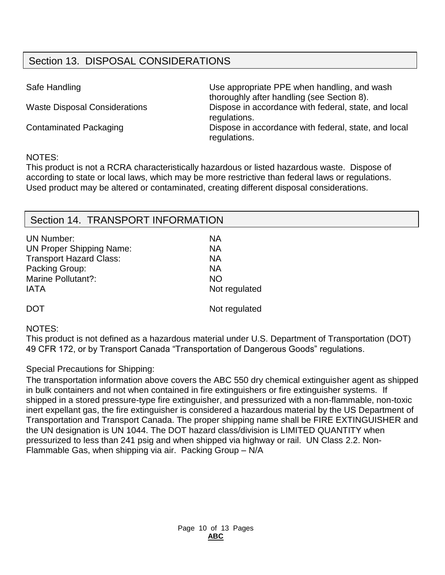# Section 13. DISPOSAL CONSIDERATIONS

Safe Handling **EXECUTE:** Use appropriate PPE when handling, and wash thoroughly after handling (see Section 8). Waste Disposal Considerations Dispose in accordance with federal, state, and local regulations. Contaminated Packaging **Dispose in accordance with federal, state, and local** regulations.

#### NOTES:

This product is not a RCRA characteristically hazardous or listed hazardous waste. Dispose of according to state or local laws, which may be more restrictive than federal laws or regulations. Used product may be altered or contaminated, creating different disposal considerations.

## Section 14. TRANSPORT INFORMATION

| <b>UN Number:</b>               | NA            |
|---------------------------------|---------------|
| <b>UN Proper Shipping Name:</b> | NA            |
| <b>Transport Hazard Class:</b>  | <b>NA</b>     |
| Packing Group:                  | NA            |
| Marine Pollutant?:              | <b>NO</b>     |
| <b>IATA</b>                     | Not regulated |
| DOT                             | Not regulated |

#### NOTES:

This product is not defined as a hazardous material under U.S. Department of Transportation (DOT) 49 CFR 172, or by Transport Canada "Transportation of Dangerous Goods" regulations.

Special Precautions for Shipping:

The transportation information above covers the ABC 550 dry chemical extinguisher agent as shipped in bulk containers and not when contained in fire extinguishers or fire extinguisher systems. If shipped in a stored pressure-type fire extinguisher, and pressurized with a non-flammable, non-toxic inert expellant gas, the fire extinguisher is considered a hazardous material by the US Department of Transportation and Transport Canada. The proper shipping name shall be FIRE EXTINGUISHER and the UN designation is UN 1044. The DOT hazard class/division is LIMITED QUANTITY when pressurized to less than 241 psig and when shipped via highway or rail. UN Class 2.2. Non-Flammable Gas, when shipping via air. Packing Group – N/A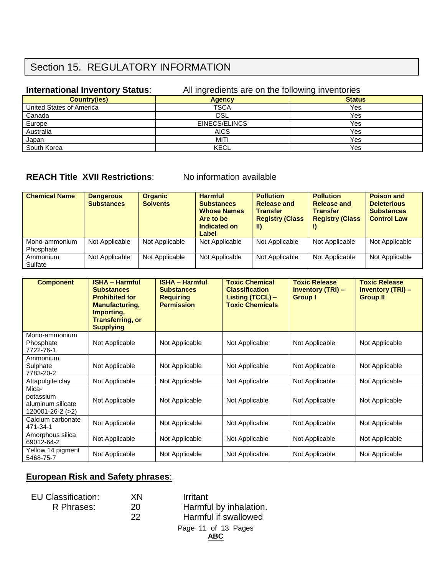## Section 15. REGULATORY INFORMATION

#### **International Inventory Status:** All ingredients are on the following inventories

| <b>Country(ies)</b>      | <b>Agency</b> | <b>Status</b> |
|--------------------------|---------------|---------------|
| United States of America | TSCA          | Yes           |
| Canada                   | <b>DSL</b>    | Yes           |
| Europe                   | EINECS/ELINCS | Yes           |
| Australia                | <b>AICS</b>   | Yes           |
| Japan                    | MITI          | Yes           |
| South Korea              | <b>KECL</b>   | Yes           |

## **REACH Title XVII Restrictions**: No information available

| <b>Chemical Name</b>       | <b>Dangerous</b><br><b>Substances</b> | <b>Organic</b><br><b>Solvents</b> | <b>Harmful</b><br><b>Substances</b><br><b>Whose Names</b><br>Are to be<br>Indicated on<br>Label | <b>Pollution</b><br><b>Release and</b><br><b>Transfer</b><br><b>Registry (Class</b><br>TD) | <b>Pollution</b><br>Release and<br><b>Transfer</b><br><b>Registry (Class)</b> | <b>Poison and</b><br><b>Deleterious</b><br><b>Substances</b><br><b>Control Law</b> |
|----------------------------|---------------------------------------|-----------------------------------|-------------------------------------------------------------------------------------------------|--------------------------------------------------------------------------------------------|-------------------------------------------------------------------------------|------------------------------------------------------------------------------------|
| Mono-ammonium<br>Phosphate | Not Applicable                        | Not Applicable                    | Not Applicable                                                                                  | Not Applicable                                                                             | Not Applicable                                                                | Not Applicable                                                                     |
| Ammonium<br>Sulfate        | Not Applicable                        | Not Applicable                    | Not Applicable                                                                                  | Not Applicable                                                                             | Not Applicable                                                                | Not Applicable                                                                     |

| <b>Component</b>                                                  | <b>ISHA - Harmful</b><br><b>Substances</b><br><b>Prohibited for</b><br><b>Manufacturing,</b><br>Importing,<br><b>Transferring, or</b><br><b>Supplying</b> | <b>ISHA - Harmful</b><br><b>Substances</b><br><b>Requiring</b><br><b>Permission</b> | <b>Toxic Chemical</b><br><b>Classification</b><br>Listing (TCCL) -<br><b>Toxic Chemicals</b> | <b>Toxic Release</b><br><b>Inventory (TRI) -</b><br><b>Group I</b> | <b>Toxic Release</b><br><b>Inventory (TRI) -</b><br><b>Group II</b> |
|-------------------------------------------------------------------|-----------------------------------------------------------------------------------------------------------------------------------------------------------|-------------------------------------------------------------------------------------|----------------------------------------------------------------------------------------------|--------------------------------------------------------------------|---------------------------------------------------------------------|
| Mono-ammonium<br>Phosphate<br>7722-76-1                           | Not Applicable                                                                                                                                            | Not Applicable                                                                      | Not Applicable                                                                               | Not Applicable                                                     | Not Applicable                                                      |
| Ammonium<br>Sulphate<br>7783-20-2                                 | Not Applicable                                                                                                                                            | Not Applicable                                                                      | Not Applicable                                                                               | Not Applicable                                                     | Not Applicable                                                      |
| Attapulgite clay                                                  | Not Applicable                                                                                                                                            | Not Applicable                                                                      | Not Applicable                                                                               | Not Applicable                                                     | Not Applicable                                                      |
| Mica-<br>potassium<br>aluminum silicate<br>$120001 - 26 - 2 (>2)$ | Not Applicable                                                                                                                                            | Not Applicable                                                                      | Not Applicable                                                                               | Not Applicable                                                     | Not Applicable                                                      |
| Calcium carbonate<br>471-34-1                                     | Not Applicable                                                                                                                                            | Not Applicable                                                                      | Not Applicable                                                                               | Not Applicable                                                     | Not Applicable                                                      |
| Amorphous silica<br>69012-64-2                                    | Not Applicable                                                                                                                                            | Not Applicable                                                                      | Not Applicable                                                                               | Not Applicable                                                     | Not Applicable                                                      |
| Yellow 14 pigment<br>5468-75-7                                    | Not Applicable                                                                                                                                            | Not Applicable                                                                      | Not Applicable                                                                               | Not Applicable                                                     | Not Applicable                                                      |

## **European Risk and Safety phrases**:

| <b>EU Classification:</b> |  |
|---------------------------|--|
| D Dhrococ:                |  |

Page 11 of 13 Pages EU Classification: XN Irritant R Phrases: 20 Harmful by inhalation. 22 Harmful if swallowed

**ABC**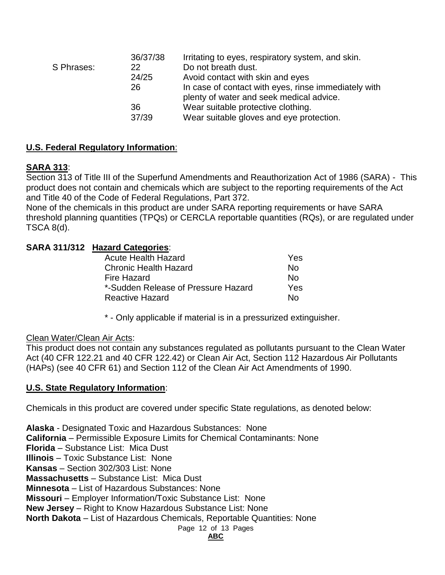| 36/37/38<br>Irritating to eyes, respiratory system, and skin. |
|---------------------------------------------------------------|
| Do not breath dust.                                           |
| Avoid contact with skin and eyes                              |
| In case of contact with eyes, rinse immediately with          |
| plenty of water and seek medical advice.                      |
| Wear suitable protective clothing.                            |
| Wear suitable gloves and eye protection.                      |
|                                                               |

## **U.S. Federal Regulatory Information**:

## **SARA 313**:

Section 313 of Title III of the Superfund Amendments and Reauthorization Act of 1986 (SARA) - This product does not contain and chemicals which are subject to the reporting requirements of the Act and Title 40 of the Code of Federal Regulations, Part 372.

None of the chemicals in this product are under SARA reporting requirements or have SARA threshold planning quantities (TPQs) or CERCLA reportable quantities (RQs), or are regulated under TSCA 8(d).

## **SARA 311/312 Hazard Categories**:

| Yes |
|-----|
| N٥  |
| N٥  |
| Yes |
| N٥  |
|     |

\* - Only applicable if material is in a pressurized extinguisher.

## Clean Water/Clean Air Acts:

This product does not contain any substances regulated as pollutants pursuant to the Clean Water Act (40 CFR 122.21 and 40 CFR 122.42) or Clean Air Act, Section 112 Hazardous Air Pollutants (HAPs) (see 40 CFR 61) and Section 112 of the Clean Air Act Amendments of 1990.

## **U.S. State Regulatory Information**:

Chemicals in this product are covered under specific State regulations, as denoted below:

Page 12 of 13 Pages **Alaska** - Designated Toxic and Hazardous Substances: None **California** – Permissible Exposure Limits for Chemical Contaminants: None **Florida** – Substance List: Mica Dust **Illinois** – Toxic Substance List: None **Kansas** – Section 302/303 List: None **Massachusetts** – Substance List: Mica Dust **Minnesota** – List of Hazardous Substances: None **Missouri** – Employer Information/Toxic Substance List: None **New Jersey** – Right to Know Hazardous Substance List: None **North Dakota** – List of Hazardous Chemicals, Reportable Quantities: None

#### **ABC**